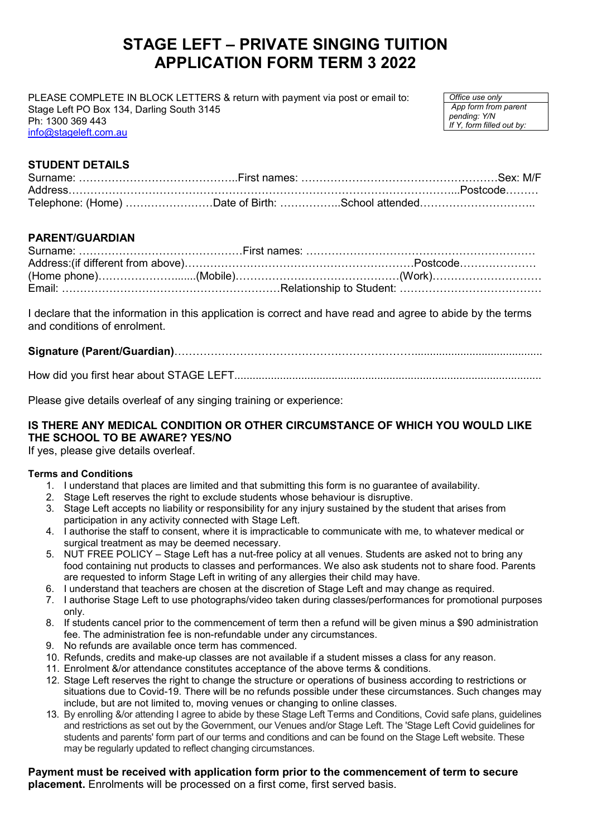# **STAGE LEFT – PRIVATE SINGING TUITION APPLICATION FORM TERM 3 2022**

PLEASE COMPLETE IN BLOCK LETTERS & return with payment via post or email to: Stage Left PO Box 134, Darling South 3145 Ph: 1300 369 443 [info@stageleft.com.au](mailto:info@stageleft.com.au)

*Office use only App form from parent pending: Y/N If Y, form filled out by:*

# **STUDENT DETAILS**

## **PARENT/GUARDIAN**

I declare that the information in this application is correct and have read and agree to abide by the terms and conditions of enrolment.

# **Signature (Parent/Guardian)**…………………………………………………………..........................................

|--|--|--|--|

Please give details overleaf of any singing training or experience:

## **IS THERE ANY MEDICAL CONDITION OR OTHER CIRCUMSTANCE OF WHICH YOU WOULD LIKE THE SCHOOL TO BE AWARE? YES/NO**

If yes, please give details overleaf.

#### **Terms and Conditions**

- 1. I understand that places are limited and that submitting this form is no guarantee of availability.
- 2. Stage Left reserves the right to exclude students whose behaviour is disruptive.
- 3. Stage Left accepts no liability or responsibility for any injury sustained by the student that arises from participation in any activity connected with Stage Left.
- 4. I authorise the staff to consent, where it is impracticable to communicate with me, to whatever medical or surgical treatment as may be deemed necessary.
- 5. NUT FREE POLICY Stage Left has a nut-free policy at all venues. Students are asked not to bring any food containing nut products to classes and performances. We also ask students not to share food. Parents are requested to inform Stage Left in writing of any allergies their child may have.
- 6. I understand that teachers are chosen at the discretion of Stage Left and may change as required.
- 7. I authorise Stage Left to use photographs/video taken during classes/performances for promotional purposes only.
- 8. If students cancel prior to the commencement of term then a refund will be given minus a \$90 administration fee. The administration fee is non-refundable under any circumstances.
- 9. No refunds are available once term has commenced.
- 10. Refunds, credits and make-up classes are not available if a student misses a class for any reason.
- 11. Enrolment &/or attendance constitutes acceptance of the above terms & conditions.
- 12. Stage Left reserves the right to change the structure or operations of business according to restrictions or situations due to Covid-19. There will be no refunds possible under these circumstances. Such changes may include, but are not limited to, moving venues or changing to online classes.
- 13. By enrolling &/or attending I agree to abide by these Stage Left Terms and Conditions, Covid safe plans, guidelines and restrictions as set out by the Government, our Venues and/or Stage Left. The 'Stage Left Covid guidelines for students and parents' form part of our terms and conditions and can be found on the Stage Left website. These may be regularly updated to reflect changing circumstances.

#### **Payment must be received with application form prior to the commencement of term to secure placement.** Enrolments will be processed on a first come, first served basis.